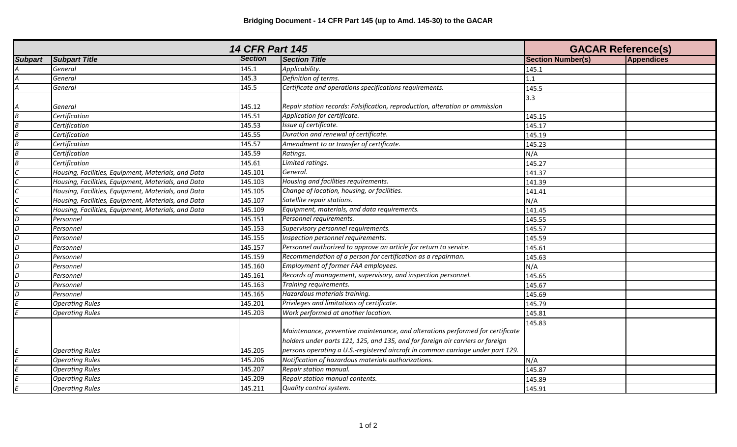|                                           | <b>14 CFR Part 145</b>                              | <b>GACAR Reference(s)</b> |                                                                                                                                                                  |                          |                   |
|-------------------------------------------|-----------------------------------------------------|---------------------------|------------------------------------------------------------------------------------------------------------------------------------------------------------------|--------------------------|-------------------|
| <b>Subpart</b>                            | <b>Subpart Title</b>                                | <b>Section</b>            | <b>Section Title</b>                                                                                                                                             | <b>Section Number(s)</b> | <b>Appendices</b> |
|                                           | General                                             | 145.1                     | Applicability.                                                                                                                                                   | 145.1                    |                   |
|                                           | General                                             | 145.3                     | Definition of terms.                                                                                                                                             | 1.1                      |                   |
| $\overline{\mathcal{A}}$                  | General                                             | 145.5                     | Certificate and operations specifications requirements.                                                                                                          | 145.5                    |                   |
| A                                         | General                                             | 145.12                    | Repair station records: Falsification, reproduction, alteration or ommission                                                                                     | 3.3                      |                   |
| $\overline{B}$                            | Certification                                       | 145.51                    | Application for certificate.                                                                                                                                     | 145.15                   |                   |
|                                           | Certification                                       | 145.53                    | Issue of certificate.                                                                                                                                            | 145.17                   |                   |
|                                           | Certification                                       | 145.55                    | Duration and renewal of certificate.                                                                                                                             | 145.19                   |                   |
| $\frac{B}{B}$ $\frac{B}{B}$ $\frac{B}{C}$ | Certification                                       | 145.57                    | Amendment to or transfer of certificate.                                                                                                                         | 145.23                   |                   |
|                                           | Certification                                       | 145.59                    | Ratings.                                                                                                                                                         | N/A                      |                   |
|                                           | Certification                                       | 145.61                    | Limited ratings.                                                                                                                                                 | 145.27                   |                   |
|                                           | Housing, Facilities, Equipment, Materials, and Data | 145.101                   | General.                                                                                                                                                         | 141.37                   |                   |
|                                           | Housing, Facilities, Equipment, Materials, and Data | 145.103                   | Housing and facilities requirements.                                                                                                                             | 141.39                   |                   |
|                                           | Housing, Facilities, Equipment, Materials, and Data | 145.105                   | Change of location, housing, or facilities.                                                                                                                      | 141.41                   |                   |
|                                           | Housing, Facilities, Equipment, Materials, and Data | 145.107                   | Satellite repair stations.                                                                                                                                       | N/A                      |                   |
|                                           | Housing, Facilities, Equipment, Materials, and Data | 145.109                   | Equipment, materials, and data requirements.                                                                                                                     | 141.45                   |                   |
|                                           | Personnel                                           | 145.151                   | Personnel requirements.                                                                                                                                          | 145.55                   |                   |
|                                           | Personnel                                           | 145.153                   | Supervisory personnel requirements.                                                                                                                              | 145.57                   |                   |
|                                           | Personnel                                           | 145.155                   | Inspection personnel requirements.                                                                                                                               | 145.59                   |                   |
|                                           | Personnel                                           | 145.157                   | Personnel authorized to approve an article for return to service.                                                                                                | 145.61                   |                   |
|                                           | Personnel                                           | 145.159                   | Recommendation of a person for certification as a repairman.                                                                                                     | 145.63                   |                   |
|                                           | Personnel                                           | 145.160                   | Employment of former FAA employees.                                                                                                                              | N/A                      |                   |
|                                           | Personnel                                           | 145.161                   | Records of management, supervisory, and inspection personnel.                                                                                                    | 145.65                   |                   |
|                                           | Personnel                                           | 145.163                   | Training requirements.                                                                                                                                           | 145.67                   |                   |
| $\overline{D}$                            | Personnel                                           | 145.165                   | Hazardous materials training.                                                                                                                                    | 145.69                   |                   |
|                                           | <b>Operating Rules</b>                              | 145.201                   | Privileges and limitations of certificate.                                                                                                                       | 145.79                   |                   |
|                                           | <b>Operating Rules</b>                              | 145.203                   | Work performed at another location.                                                                                                                              | 145.81                   |                   |
|                                           |                                                     |                           | Maintenance, preventive maintenance, and alterations performed for certificate<br>holders under parts 121, 125, and 135, and for foreign air carriers or foreign | 145.83                   |                   |
|                                           | <b>Operating Rules</b>                              | 145.205                   | persons operating a U.S.-registered aircraft in common carriage under part 129.                                                                                  |                          |                   |
|                                           | <b>Operating Rules</b>                              | 145.206                   | Notification of hazardous materials authorizations.                                                                                                              | N/A                      |                   |
|                                           | <b>Operating Rules</b>                              | 145.207                   | Repair station manual.                                                                                                                                           | 145.87                   |                   |
|                                           | <b>Operating Rules</b>                              | 145.209                   | Repair station manual contents.                                                                                                                                  | 145.89                   |                   |
|                                           | <b>Operating Rules</b>                              | 145.211                   | Quality control system.                                                                                                                                          | 145.91                   |                   |